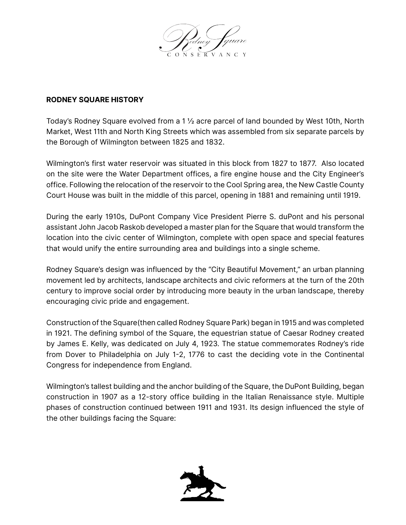

## **RODNEY SQUARE HISTORY**

Today's Rodney Square evolved from a 1 ½ acre parcel of land bounded by West 10th, North Market, West 11th and North King Streets which was assembled from six separate parcels by the Borough of Wilmington between 1825 and 1832.

Wilmington's first water reservoir was situated in this block from 1827 to 1877. Also located on the site were the Water Department offices, a fire engine house and the City Engineer's office. Following the relocation of the reservoir to the Cool Spring area, the New Castle County Court House was built in the middle of this parcel, opening in 1881 and remaining until 1919.

During the early 1910s, DuPont Company Vice President Pierre S. duPont and his personal assistant John Jacob Raskob developed a master plan for the Square that would transform the location into the civic center of Wilmington, complete with open space and special features that would unify the entire surrounding area and buildings into a single scheme.

Rodney Square's design was influenced by the "City Beautiful Movement," an urban planning movement led by architects, landscape architects and civic reformers at the turn of the 20th century to improve social order by introducing more beauty in the urban landscape, thereby encouraging civic pride and engagement.

Construction of the Square(then called Rodney Square Park) began in 1915 and was completed in 1921. The defining symbol of the Square, the equestrian statue of Caesar Rodney created by James E. Kelly, was dedicated on July 4, 1923. The statue commemorates Rodney's ride from Dover to Philadelphia on July 1-2, 1776 to cast the deciding vote in the Continental Congress for independence from England.

Wilmington's tallest building and the anchor building of the Square, the DuPont Building, began construction in 1907 as a 12-story office building in the Italian Renaissance style. Multiple phases of construction continued between 1911 and 1931. Its design influenced the style of the other buildings facing the Square: